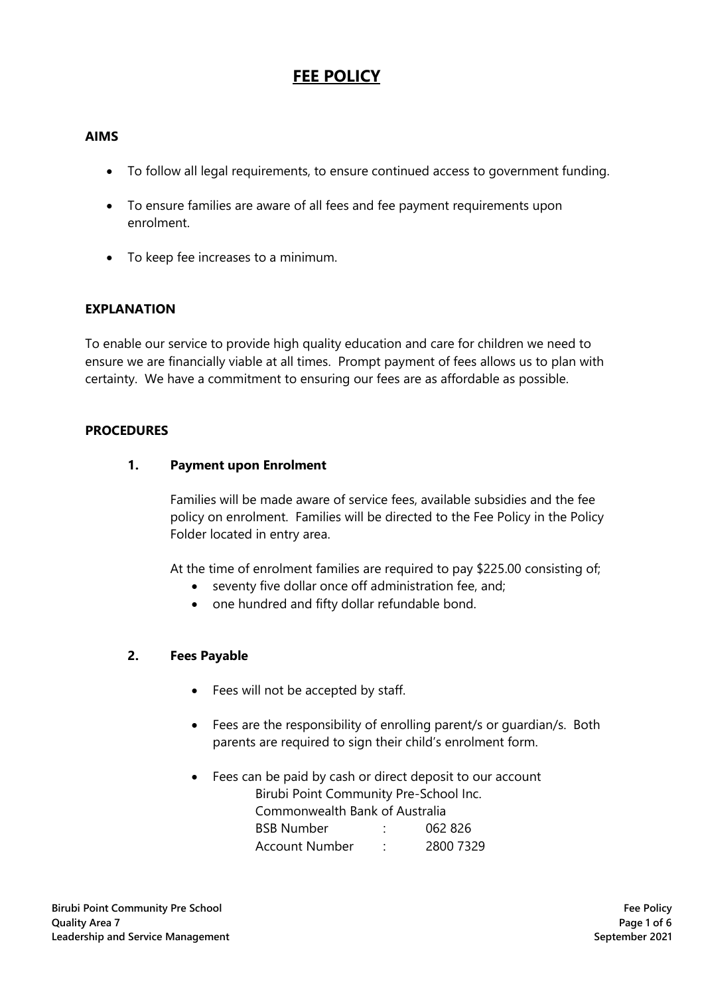#### **AIMS**

- To follow all legal requirements, to ensure continued access to government funding.
- To ensure families are aware of all fees and fee payment requirements upon enrolment.
- To keep fee increases to a minimum.

#### **EXPLANATION**

To enable our service to provide high quality education and care for children we need to ensure we are financially viable at all times. Prompt payment of fees allows us to plan with certainty. We have a commitment to ensuring our fees are as affordable as possible.

#### **PROCEDURES**

#### **1. Payment upon Enrolment**

Families will be made aware of service fees, available subsidies and the fee policy on enrolment. Families will be directed to the Fee Policy in the Policy Folder located in entry area.

At the time of enrolment families are required to pay \$225.00 consisting of;

- seventy five dollar once off administration fee, and;
- one hundred and fifty dollar refundable bond.

#### **2. Fees Payable**

- Fees will not be accepted by staff.
- Fees are the responsibility of enrolling parent/s or guardian/s. Both parents are required to sign their child's enrolment form.
- Fees can be paid by cash or direct deposit to our account Birubi Point Community Pre-School Inc. Commonwealth Bank of Australia BSB Number : 062 826 Account Number : 2800 7329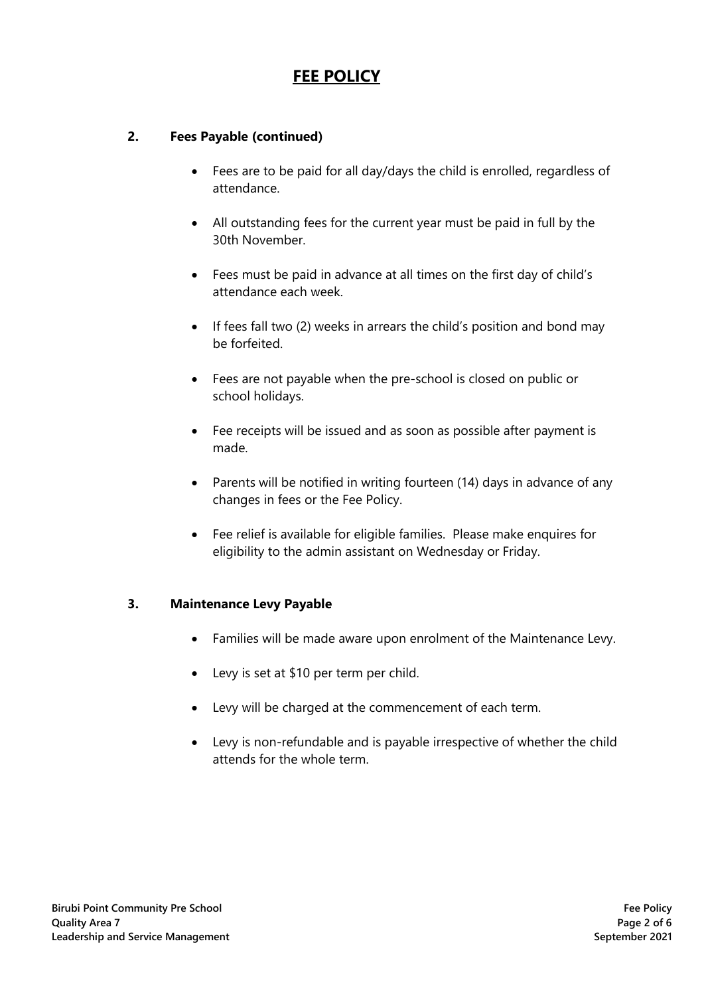### **2. Fees Payable (continued)**

- Fees are to be paid for all day/days the child is enrolled, regardless of attendance.
- All outstanding fees for the current year must be paid in full by the 30th November.
- Fees must be paid in advance at all times on the first day of child's attendance each week.
- If fees fall two (2) weeks in arrears the child's position and bond may be forfeited.
- Fees are not payable when the pre-school is closed on public or school holidays.
- Fee receipts will be issued and as soon as possible after payment is made.
- Parents will be notified in writing fourteen (14) days in advance of any changes in fees or the Fee Policy.
- Fee relief is available for eligible families. Please make enquires for eligibility to the admin assistant on Wednesday or Friday.

### **3. Maintenance Levy Payable**

- Families will be made aware upon enrolment of the Maintenance Levy.
- Levy is set at \$10 per term per child.
- Levy will be charged at the commencement of each term.
- Levy is non-refundable and is payable irrespective of whether the child attends for the whole term.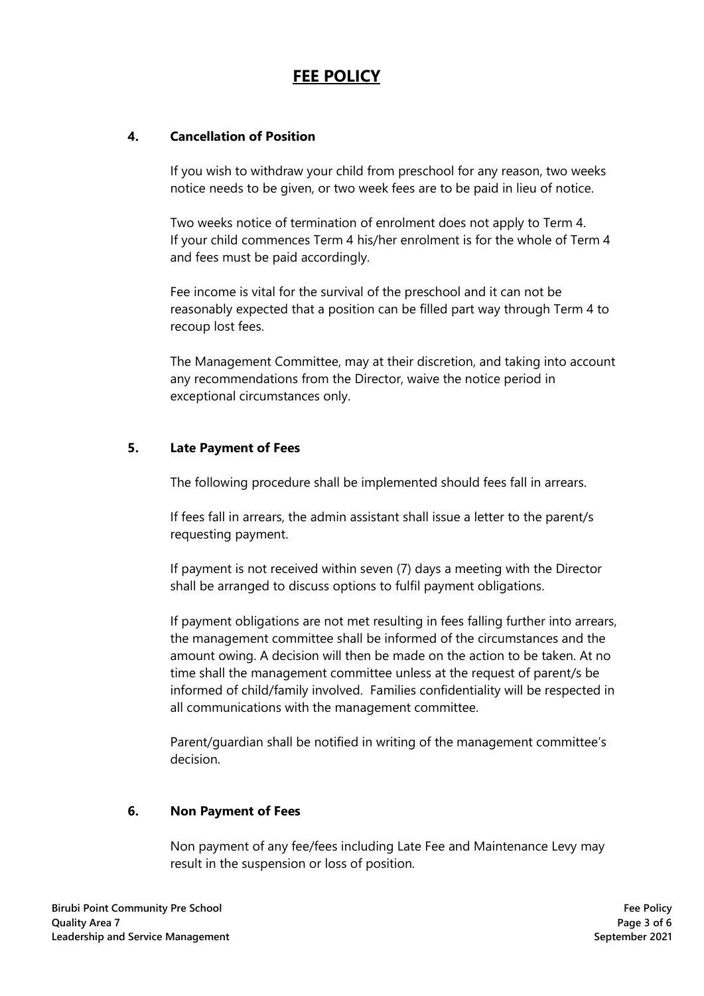### **4. Cancellation of Position**

If you wish to withdraw your child from preschool for any reason, two weeks notice needs to be given, or two week fees are to be paid in lieu of notice.

Two weeks notice of termination of enrolment does not apply to Term 4. If your child commences Term 4 his/her enrolment is for the whole of Term 4 and fees must be paid accordingly.

Fee income is vital for the survival of the preschool and it can not be reasonably expected that a position can be filled part way through Term 4 to recoup lost fees.

The Management Committee, may at their discretion, and taking into account any recommendations from the Director, waive the notice period in exceptional circumstances only.

### **5. Late Payment of Fees**

The following procedure shall be implemented should fees fall in arrears.

If fees fall in arrears, the admin assistant shall issue a letter to the parent/s requesting payment.

If payment is not received within seven (7) days a meeting with the Director shall be arranged to discuss options to fulfil payment obligations.

If payment obligations are not met resulting in fees falling further into arrears, the management committee shall be informed of the circumstances and the amount owing. A decision will then be made on the action to be taken. At no time shall the management committee unless at the request of parent/s be informed of child/family involved. Families confidentiality will be respected in all communications with the management committee.

Parent/guardian shall be notified in writing of the management committee's decision.

### **6. Non Payment of Fees**

Non payment of any fee/fees including Late Fee and Maintenance Levy may result in the suspension or loss of position.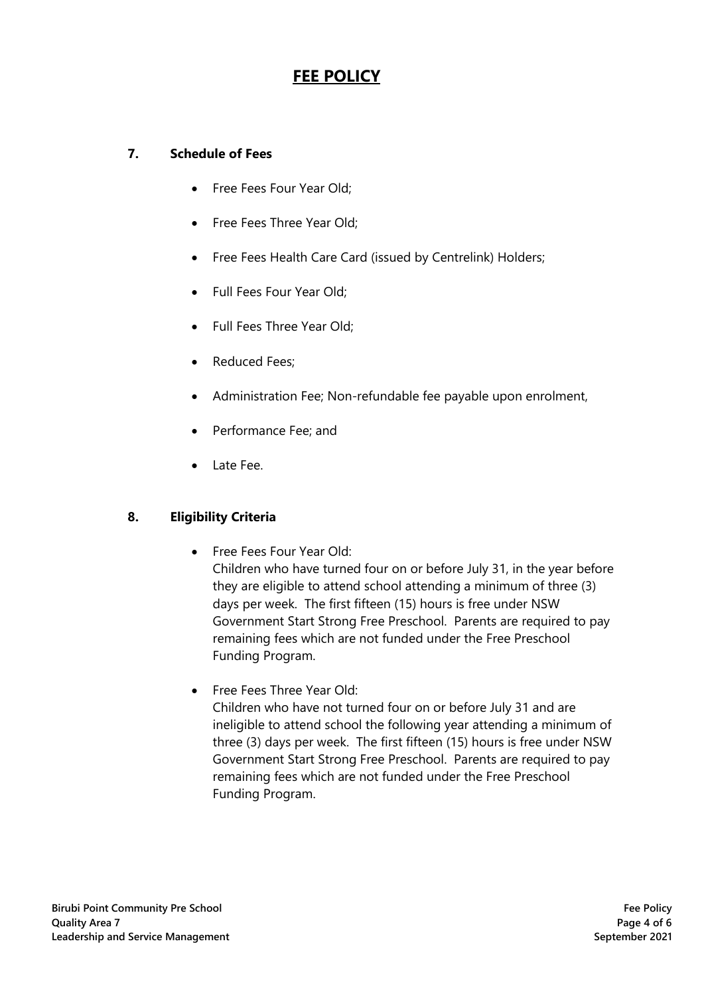## **7. Schedule of Fees**

- Free Fees Four Year Old;
- Free Fees Three Year Old:
- Free Fees Health Care Card (issued by Centrelink) Holders;
- Full Fees Four Year Old;
- Full Fees Three Year Old;
- Reduced Fees;
- Administration Fee; Non-refundable fee payable upon enrolment,
- Performance Fee; and
- Late Fee.

### **8. Eligibility Criteria**

• Free Fees Four Year Old:

Children who have turned four on or before July 31, in the year before they are eligible to attend school attending a minimum of three (3) days per week. The first fifteen (15) hours is free under NSW Government Start Strong Free Preschool. Parents are required to pay remaining fees which are not funded under the Free Preschool Funding Program.

• Free Fees Three Year Old: Children who have not turned four on or before July 31 and are ineligible to attend school the following year attending a minimum of three (3) days per week. The first fifteen (15) hours is free under NSW Government Start Strong Free Preschool. Parents are required to pay remaining fees which are not funded under the Free Preschool Funding Program.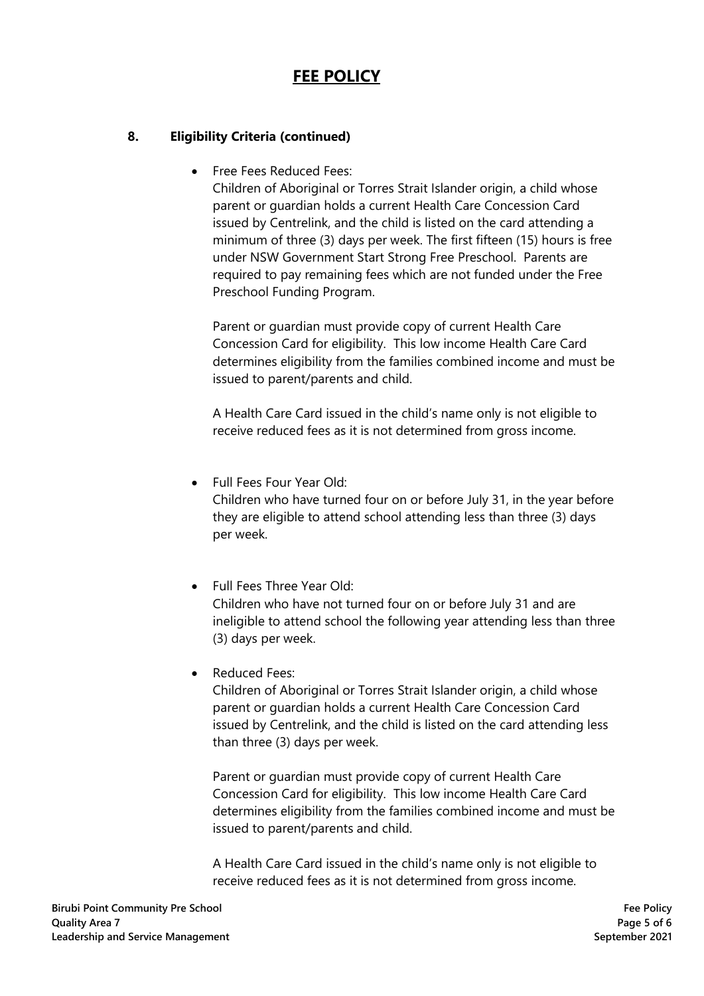### **8. Eligibility Criteria (continued)**

• Free Fees Reduced Fees:

Children of Aboriginal or Torres Strait Islander origin, a child whose parent or guardian holds a current Health Care Concession Card issued by Centrelink, and the child is listed on the card attending a minimum of three (3) days per week. The first fifteen (15) hours is free under NSW Government Start Strong Free Preschool. Parents are required to pay remaining fees which are not funded under the Free Preschool Funding Program.

Parent or guardian must provide copy of current Health Care Concession Card for eligibility. This low income Health Care Card determines eligibility from the families combined income and must be issued to parent/parents and child.

A Health Care Card issued in the child's name only is not eligible to receive reduced fees as it is not determined from gross income.

- Full Fees Four Year Old: Children who have turned four on or before July 31, in the year before they are eligible to attend school attending less than three (3) days per week.
- Full Fees Three Year Old: Children who have not turned four on or before July 31 and are ineligible to attend school the following year attending less than three (3) days per week.
- Reduced Fees:

Children of Aboriginal or Torres Strait Islander origin, a child whose parent or guardian holds a current Health Care Concession Card issued by Centrelink, and the child is listed on the card attending less than three (3) days per week.

Parent or guardian must provide copy of current Health Care Concession Card for eligibility. This low income Health Care Card determines eligibility from the families combined income and must be issued to parent/parents and child.

A Health Care Card issued in the child's name only is not eligible to receive reduced fees as it is not determined from gross income.